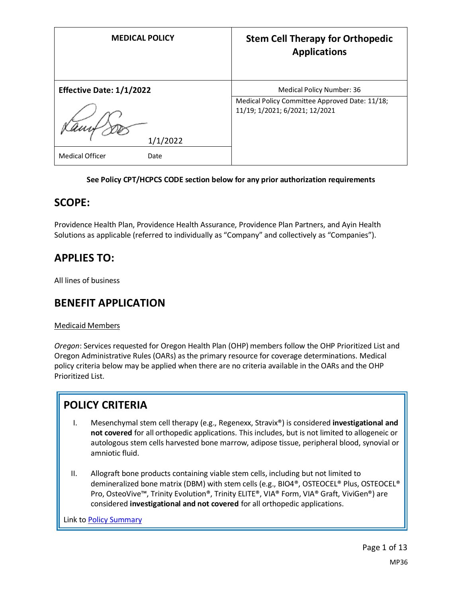| <b>MEDICAL POLICY</b>           | <b>Stem Cell Therapy for Orthopedic</b><br><b>Applications</b>                   |
|---------------------------------|----------------------------------------------------------------------------------|
| <b>Effective Date: 1/1/2022</b> | Medical Policy Number: 36                                                        |
| 1/1/2022                        | Medical Policy Committee Approved Date: 11/18;<br>11/19; 1/2021; 6/2021; 12/2021 |
| <b>Medical Officer</b><br>Date  |                                                                                  |

#### **See Policy CPT/HCPCS CODE section below for any prior authorization requirements**

## **SCOPE:**

Providence Health Plan, Providence Health Assurance, Providence Plan Partners, and Ayin Health Solutions as applicable (referred to individually as "Company" and collectively as "Companies").

# **APPLIES TO:**

All lines of business

## **BENEFIT APPLICATION**

### Medicaid Members

*Oregon*: Services requested for Oregon Health Plan (OHP) members follow the OHP Prioritized List and Oregon Administrative Rules (OARs) as the primary resource for coverage determinations. Medical policy criteria below may be applied when there are no criteria available in the OARs and the OHP Prioritized List.

## **POLICY CRITERIA**

- I. Mesenchymal stem cell therapy (e.g., Regenexx, Stravix®) is considered **investigational and not covered** for all orthopedic applications. This includes, but is not limited to allogeneic or autologous stem cells harvested bone marrow, adipose tissue, peripheral blood, synovial or amniotic fluid.
- II. Allograft bone products containing viable stem cells, including but not limited to demineralized bone matrix (DBM) with stem cells (e.g., BIO4®, OSTEOCEL® Plus, OSTEOCEL® Pro, OsteoVive™, Trinity Evolution®, Trinity ELITE®, VIA® Form, VIA® Graft, ViviGen®) are considered **investigational and not covered** for all orthopedic applications.

Link t[o Policy Summary](#page-7-0)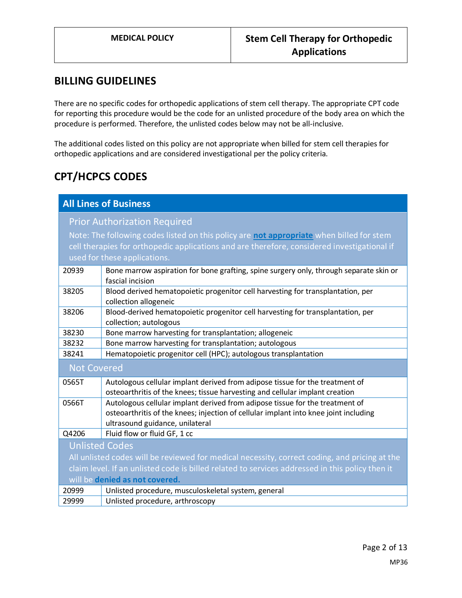## **BILLING GUIDELINES**

There are no specific codes for orthopedic applications of stem cell therapy. The appropriate CPT code for reporting this procedure would be the code for an unlisted procedure of the body area on which the procedure is performed. Therefore, the unlisted codes below may not be all-inclusive.

The additional codes listed on this policy are not appropriate when billed for stem cell therapies for orthopedic applications and are considered investigational per the policy criteria.

# **CPT/HCPCS CODES**

| <b>All Lines of Business</b>                                                                    |                                                                                        |  |
|-------------------------------------------------------------------------------------------------|----------------------------------------------------------------------------------------|--|
| <b>Prior Authorization Required</b>                                                             |                                                                                        |  |
| Note: The following codes listed on this policy are not appropriate when billed for stem        |                                                                                        |  |
| cell therapies for orthopedic applications and are therefore, considered investigational if     |                                                                                        |  |
| used for these applications.                                                                    |                                                                                        |  |
| 20939                                                                                           | Bone marrow aspiration for bone grafting, spine surgery only, through separate skin or |  |
|                                                                                                 | fascial incision                                                                       |  |
| 38205                                                                                           | Blood derived hematopoietic progenitor cell harvesting for transplantation, per        |  |
|                                                                                                 | collection allogeneic                                                                  |  |
| 38206                                                                                           | Blood-derived hematopoietic progenitor cell harvesting for transplantation, per        |  |
|                                                                                                 | collection; autologous                                                                 |  |
| 38230                                                                                           | Bone marrow harvesting for transplantation; allogeneic                                 |  |
| 38232                                                                                           | Bone marrow harvesting for transplantation; autologous                                 |  |
| 38241                                                                                           | Hematopoietic progenitor cell (HPC); autologous transplantation                        |  |
| <b>Not Covered</b>                                                                              |                                                                                        |  |
| 0565T                                                                                           | Autologous cellular implant derived from adipose tissue for the treatment of           |  |
|                                                                                                 | osteoarthritis of the knees; tissue harvesting and cellular implant creation           |  |
| 0566T                                                                                           | Autologous cellular implant derived from adipose tissue for the treatment of           |  |
|                                                                                                 | osteoarthritis of the knees; injection of cellular implant into knee joint including   |  |
|                                                                                                 | ultrasound guidance, unilateral                                                        |  |
| Q4206                                                                                           | Fluid flow or fluid GF, 1 cc                                                           |  |
| <b>Unlisted Codes</b>                                                                           |                                                                                        |  |
| All unlisted codes will be reviewed for medical necessity, correct coding, and pricing at the   |                                                                                        |  |
| claim level. If an unlisted code is billed related to services addressed in this policy then it |                                                                                        |  |
| will be denied as not covered.                                                                  |                                                                                        |  |
| 20999                                                                                           | Unlisted procedure, musculoskeletal system, general                                    |  |
| 29999                                                                                           | Unlisted procedure, arthroscopy                                                        |  |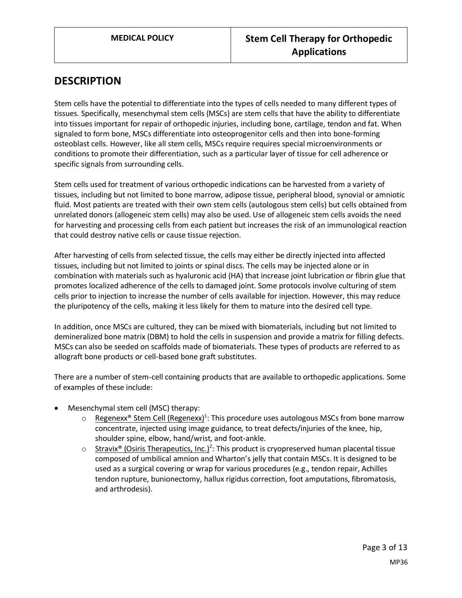## **DESCRIPTION**

Stem cells have the potential to differentiate into the types of cells needed to many different types of tissues. Specifically, mesenchymal stem cells (MSCs) are stem cells that have the ability to differentiate into tissues important for repair of orthopedic injuries, including bone, cartilage, tendon and fat. When signaled to form bone, MSCs differentiate into osteoprogenitor cells and then into bone-forming osteoblast cells. However, like all stem cells, MSCs require requires special microenvironments or conditions to promote their differentiation, such as a particular layer of tissue for cell adherence or specific signals from surrounding cells.

Stem cells used for treatment of various orthopedic indications can be harvested from a variety of tissues, including but not limited to bone marrow, adipose tissue, peripheral blood, synovial or amniotic fluid. Most patients are treated with their own stem cells (autologous stem cells) but cells obtained from unrelated donors (allogeneic stem cells) may also be used. Use of allogeneic stem cells avoids the need for harvesting and processing cells from each patient but increases the risk of an immunological reaction that could destroy native cells or cause tissue rejection.

After harvesting of cells from selected tissue, the cells may either be directly injected into affected tissues, including but not limited to joints or spinal discs. The cells may be injected alone or in combination with materials such as hyaluronic acid (HA) that increase joint lubrication or fibrin glue that promotes localized adherence of the cells to damaged joint. Some protocols involve culturing of stem cells prior to injection to increase the number of cells available for injection. However, this may reduce the pluripotency of the cells, making it less likely for them to mature into the desired cell type.

In addition, once MSCs are cultured, they can be mixed with biomaterials, including but not limited to demineralized bone matrix (DBM) to hold the cells in suspension and provide a matrix for filling defects. MSCs can also be seeded on scaffolds made of biomaterials. These types of products are referred to as allograft bone products or cell-based bone graft substitutes.

There are a number of stem-cell containing products that are available to orthopedic applications. Some of examples of these include:

- Mesenchymal stem cell (MSC) therapy:
	- $\circ$  Regenexx<sup>®</sup> Stem Cell (Regenexx)<sup>1</sup>: This procedure uses autologous MSCs from bone marrow concentrate, injected using image guidance, to treat defects/injuries of the knee, hip, shoulder spine, elbow, hand/wrist, and foot-ankle.
	- $\circ$  Stravix<sup>®</sup> (Osiris Therapeutics, Inc.)<sup>2</sup>: This product is cryopreserved human placental tissue composed of umbilical amnion and Wharton's jelly that contain MSCs. It is designed to be used as a surgical covering or wrap for various procedures (e.g., tendon repair, Achilles tendon rupture, bunionectomy, hallux rigidus correction, foot amputations, fibromatosis, and arthrodesis).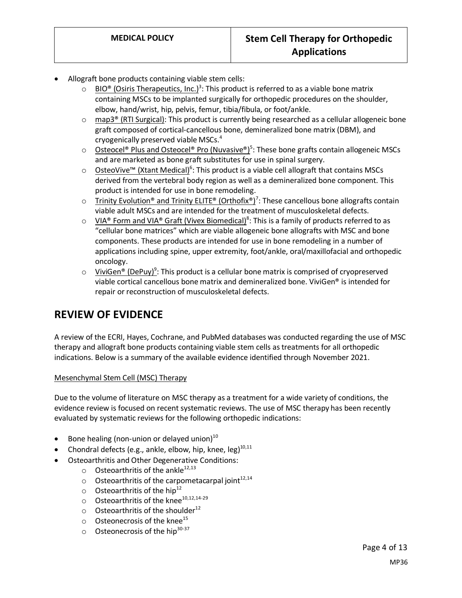- Allograft bone products containing viable stem cells:
	- $\circ$  BIO<sup>®</sup> (Osiris Therapeutics, Inc.)<sup>3</sup>: This product is referred to as a viable bone matrix containing MSCs to be implanted surgically for orthopedic procedures on the shoulder, elbow, hand/wrist, hip, pelvis, femur, tibia/fibula, or foot/ankle.
	- $\circ$  map3<sup>®</sup> (RTI Surgical): This product is currently being researched as a cellular allogeneic bone graft composed of cortical-cancellous bone, demineralized bone matrix (DBM), and cryogenically preserved viable MSCs.<sup>4</sup>
	- Osteocel® Plus and Osteocel® Pro (Nuvasive®)<sup>5</sup>: These bone grafts contain allogeneic MSCs and are marketed as bone graft substitutes for use in spinal surgery.
	- o OsteoVive™ (Xtant Medical)<sup>6</sup>: This product is a viable cell allograft that contains MSCs derived from the vertebral body region as well as a demineralized bone component. This product is intended for use in bone remodeling.
	- Trinity Evolution® and Trinity ELITE® (Orthofix®)<sup>7</sup>: These cancellous bone allografts contain viable adult MSCs and are intended for the treatment of musculoskeletal defects.
	- VIA® Form and VIA® Graft (Vivex Biomedical)<sup>8</sup>: This is a family of products referred to as "cellular bone matrices" which are viable allogeneic bone allografts with MSC and bone components. These products are intended for use in bone remodeling in a number of applications including spine, upper extremity, foot/ankle, oral/maxillofacial and orthopedic oncology.
	- ViviGen® (DePuy)<sup>9</sup>: This product is a cellular bone matrix is comprised of cryopreserved viable cortical cancellous bone matrix and demineralized bone. ViviGen® is intended for repair or reconstruction of musculoskeletal defects.

# **REVIEW OF EVIDENCE**

A review of the ECRI, Hayes, Cochrane, and PubMed databases was conducted regarding the use of MSC therapy and allograft bone products containing viable stem cells as treatments for all orthopedic indications. Below is a summary of the available evidence identified through November 2021.

#### Mesenchymal Stem Cell (MSC) Therapy

Due to the volume of literature on MSC therapy as a treatment for a wide variety of conditions, the evidence review is focused on recent systematic reviews. The use of MSC therapy has been recently evaluated by systematic reviews for the following orthopedic indications:

- Bone healing (non-union or delayed union) $10$
- Chondral defects (e.g., ankle, elbow, hip, knee,  $leg)^{10,11}$ 
	- Osteoarthritis and Other Degenerative Conditions:
		- $\circ$  Osteoarthritis of the ankle<sup>12,13</sup>
		- $\circ$  Osteoarthritis of the carpometacarpal joint<sup>12,14</sup>
		- $\circ$  Osteoarthritis of the hip<sup>12</sup>
		- $\circ$  Osteoarthritis of the knee<sup>10,12,14-29</sup>
		- $\circ$  Osteoarthritis of the shoulder<sup>12</sup>
		- $\circ$  Osteonecrosis of the knee<sup>15</sup>
		- $\circ$  Osteonecrosis of the hip<sup>30-37</sup>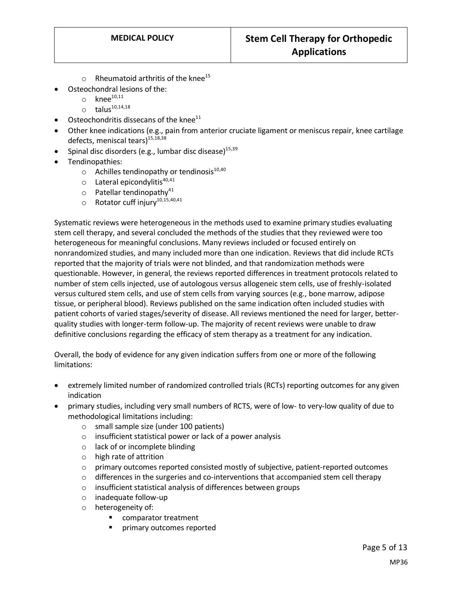- $\circ$  Rheumatoid arthritis of the knee<sup>15</sup>
- Osteochondral lesions of the:
	- $\circ$  knee<sup>10,11</sup>
	- $\circ$  talus<sup>10,14,18</sup>
- Osteochondritis dissecans of the knee $^{11}$
- Other knee indications (e.g., pain from anterior cruciate ligament or meniscus repair, knee cartilage defects, meniscal tears)<sup>15,18,38</sup>
- Spinal disc disorders (e.g., lumbar disc disease)<sup>15,39</sup>
- Tendinopathies:
	- $\circ$  Achilles tendinopathy or tendinosis<sup>10,40</sup>
	- $\circ$  Lateral epicondylitis<sup>40,41</sup>
	- $\circ$  Patellar tendinopathy<sup>41</sup>
	- $\circ$  Rotator cuff injury<sup>10,15,40,41</sup>

Systematic reviews were heterogeneous in the methods used to examine primary studies evaluating stem cell therapy, and several concluded the methods of the studies that they reviewed were too heterogeneous for meaningful conclusions. Many reviews included or focused entirely on nonrandomized studies, and many included more than one indication. Reviews that did include RCTs reported that the majority of trials were not blinded, and that randomization methods were questionable. However, in general, the reviews reported differences in treatment protocols related to number of stem cells injected, use of autologous versus allogeneic stem cells, use of freshly-isolated versus cultured stem cells, and use of stem cells from varying sources (e.g., bone marrow, adipose tissue, or peripheral blood). Reviews published on the same indication often included studies with patient cohorts of varied stages/severity of disease. All reviews mentioned the need for larger, betterquality studies with longer-term follow-up. The majority of recent reviews were unable to draw definitive conclusions regarding the efficacy of stem therapy as a treatment for any indication.

Overall, the body of evidence for any given indication suffers from one or more of the following limitations:

- extremely limited number of randomized controlled trials (RCTs) reporting outcomes for any given indication
- primary studies, including very small numbers of RCTS, were of low- to very-low quality of due to methodological limitations including:
	- o small sample size (under 100 patients)
	- o insufficient statistical power or lack of a power analysis
	- o lack of or incomplete blinding
	- o high rate of attrition
	- $\circ$  primary outcomes reported consisted mostly of subjective, patient-reported outcomes
	- $\circ$  differences in the surgeries and co-interventions that accompanied stem cell therapy
	- o insufficient statistical analysis of differences between groups
	- o inadequate follow-up
	- o heterogeneity of:
		- comparator treatment
		- primary outcomes reported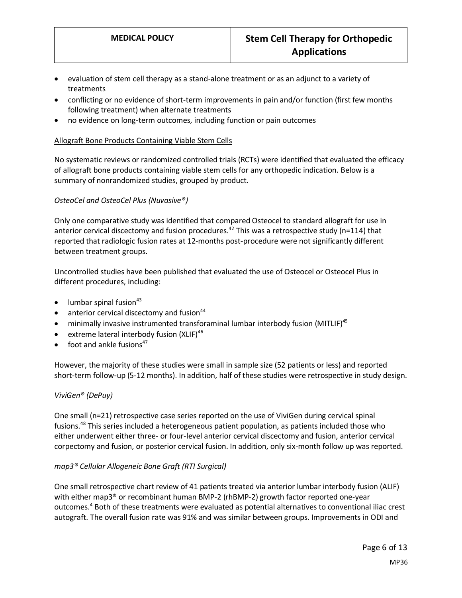- evaluation of stem cell therapy as a stand-alone treatment or as an adjunct to a variety of treatments
- conflicting or no evidence of short-term improvements in pain and/or function (first few months following treatment) when alternate treatments
- no evidence on long-term outcomes, including function or pain outcomes

#### Allograft Bone Products Containing Viable Stem Cells

No systematic reviews or randomized controlled trials (RCTs) were identified that evaluated the efficacy of allograft bone products containing viable stem cells for any orthopedic indication. Below is a summary of nonrandomized studies, grouped by product.

#### *OsteoCel and OsteoCel Plus (Nuvasive®)*

Only one comparative study was identified that compared Osteocel to standard allograft for use in anterior cervical discectomy and fusion procedures.<sup>42</sup> This was a retrospective study (n=114) that reported that radiologic fusion rates at 12-months post-procedure were not significantly different between treatment groups.

Uncontrolled studies have been published that evaluated the use of Osteocel or Osteocel Plus in different procedures, including:

- $\bullet$  lumbar spinal fusion<sup>43</sup>
- $\bullet$  anterior cervical discectomy and fusion<sup>44</sup>
- minimally invasive instrumented transforaminal lumbar interbody fusion (MITLIF)<sup>45</sup>
- extreme lateral interbody fusion  $(XLIF)^{46}$
- $\bullet$  foot and ankle fusions<sup>47</sup>

However, the majority of these studies were small in sample size (52 patients or less) and reported short-term follow-up (5-12 months). In addition, half of these studies were retrospective in study design.

#### *ViviGen® (DePuy)*

One small (n=21) retrospective case series reported on the use of ViviGen during cervical spinal fusions.<sup>48</sup> This series included a heterogeneous patient population, as patients included those who either underwent either three- or four-level anterior cervical discectomy and fusion, anterior cervical corpectomy and fusion, or posterior cervical fusion. In addition, only six-month follow up was reported.

#### *map3® Cellular Allogeneic Bone Graft (RTI Surgical)*

One small retrospective chart review of 41 patients treated via anterior lumbar interbody fusion (ALIF) with either map3<sup>®</sup> or recombinant human BMP-2 (rhBMP-2) growth factor reported one-year outcomes.<sup>4</sup> Both of these treatments were evaluated as potential alternatives to conventional iliac crest autograft. The overall fusion rate was 91% and was similar between groups. Improvements in ODI and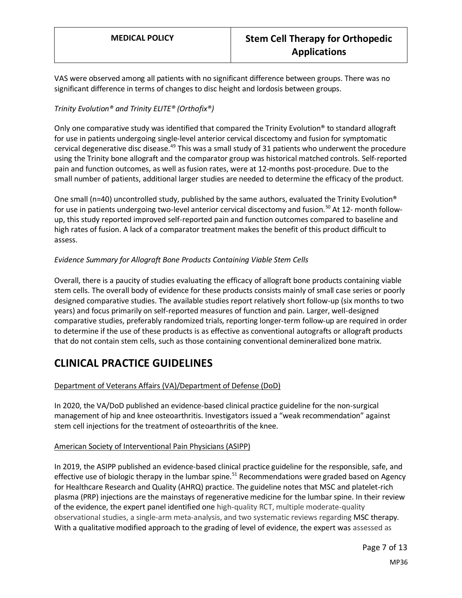VAS were observed among all patients with no significant difference between groups. There was no significant difference in terms of changes to disc height and lordosis between groups.

### *Trinity Evolution® and Trinity ELITE® (Orthofix®)*

Only one comparative study was identified that compared the Trinity Evolution® to standard allograft for use in patients undergoing single-level anterior cervical discectomy and fusion for symptomatic cervical degenerative disc disease.<sup>49</sup> This was a small study of 31 patients who underwent the procedure using the Trinity bone allograft and the comparator group was historical matched controls. Self-reported pain and function outcomes, as well as fusion rates, were at 12-months post-procedure. Due to the small number of patients, additional larger studies are needed to determine the efficacy of the product.

One small (n=40) uncontrolled study, published by the same authors, evaluated the Trinity Evolution<sup>®</sup> for use in patients undergoing two-level anterior cervical discectomy and fusion.<sup>50</sup> At 12- month followup, this study reported improved self-reported pain and function outcomes compared to baseline and high rates of fusion. A lack of a comparator treatment makes the benefit of this product difficult to assess.

### *Evidence Summary for Allograft Bone Products Containing Viable Stem Cells*

Overall, there is a paucity of studies evaluating the efficacy of allograft bone products containing viable stem cells. The overall body of evidence for these products consists mainly of small case series or poorly designed comparative studies. The available studies report relatively short follow-up (six months to two years) and focus primarily on self-reported measures of function and pain. Larger, well-designed comparative studies, preferably randomized trials, reporting longer-term follow-up are required in order to determine if the use of these products is as effective as conventional autografts or allograft products that do not contain stem cells, such as those containing conventional demineralized bone matrix.

## **CLINICAL PRACTICE GUIDELINES**

### Department of Veterans Affairs (VA)/Department of Defense (DoD)

In 2020, the VA/DoD published an evidence-based clinical practice guideline for the non-surgical management of hip and knee osteoarthritis. Investigators issued a "weak recommendation" against stem cell injections for the treatment of osteoarthritis of the knee.

### American Society of Interventional Pain Physicians (ASIPP)

In 2019, the ASIPP published an evidence-based clinical practice guideline for the responsible, safe, and effective use of biologic therapy in the lumbar spine.<sup>51</sup> Recommendations were graded based on Agency for Healthcare Research and Quality (AHRQ) practice. The guideline notes that MSC and platelet-rich plasma (PRP) injections are the mainstays of regenerative medicine for the lumbar spine. In their review of the evidence, the expert panel identified one high-quality RCT, multiple moderate-quality observational studies, a single-arm meta-analysis, and two systematic reviews regarding MSC therapy. With a qualitative modified approach to the grading of level of evidence, the expert was assessed as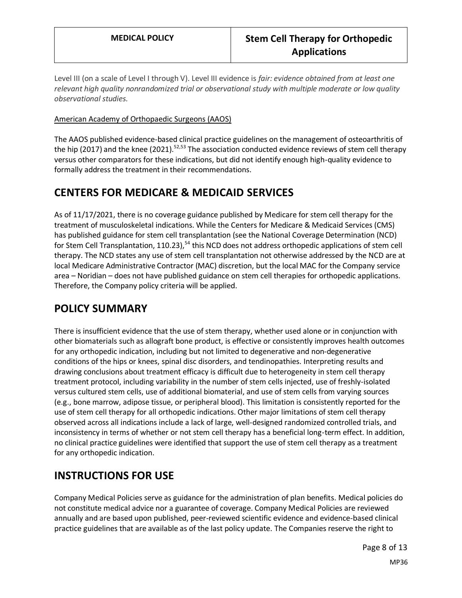Level III (on a scale of Level I through V). Level III evidence is *fair: evidence obtained from at least one relevant high quality nonrandomized trial or observational study with multiple moderate or low quality observational studies.*

### American Academy of Orthopaedic Surgeons (AAOS)

The AAOS published evidence-based clinical practice guidelines on the management of osteoarthritis of the hip (2017) and the knee (2021).<sup>52,53</sup> The association conducted evidence reviews of stem cell therapy versus other comparators for these indications, but did not identify enough high-quality evidence to formally address the treatment in their recommendations.

## **CENTERS FOR MEDICARE & MEDICAID SERVICES**

As of 11/17/2021, there is no coverage guidance published by Medicare for stem cell therapy for the treatment of musculoskeletal indications. While the Centers for Medicare & Medicaid Services (CMS) has published guidance for stem cell transplantation (see the National Coverage Determination (NCD) for Stem Cell Transplantation, 110.23),<sup>54</sup> this NCD does not address orthopedic applications of stem cell therapy. The NCD states any use of stem cell transplantation not otherwise addressed by the NCD are at local Medicare Administrative Contractor (MAC) discretion, but the local MAC for the Company service area – Noridian – does not have published guidance on stem cell therapies for orthopedic applications. Therefore, the Company policy criteria will be applied.

## <span id="page-7-0"></span>**POLICY SUMMARY**

There is insufficient evidence that the use of stem therapy, whether used alone or in conjunction with other biomaterials such as allograft bone product, is effective or consistently improves health outcomes for any orthopedic indication, including but not limited to degenerative and non-degenerative conditions of the hips or knees, spinal disc disorders, and tendinopathies. Interpreting results and drawing conclusions about treatment efficacy is difficult due to heterogeneity in stem cell therapy treatment protocol, including variability in the number of stem cells injected, use of freshly-isolated versus cultured stem cells, use of additional biomaterial, and use of stem cells from varying sources (e.g., bone marrow, adipose tissue, or peripheral blood). This limitation is consistently reported for the use of stem cell therapy for all orthopedic indications. Other major limitations of stem cell therapy observed across all indications include a lack of large, well-designed randomized controlled trials, and inconsistency in terms of whether or not stem cell therapy has a beneficial long-term effect. In addition, no clinical practice guidelines were identified that support the use of stem cell therapy as a treatment for any orthopedic indication.

## **INSTRUCTIONS FOR USE**

Company Medical Policies serve as guidance for the administration of plan benefits. Medical policies do not constitute medical advice nor a guarantee of coverage. Company Medical Policies are reviewed annually and are based upon published, peer-reviewed scientific evidence and evidence-based clinical practice guidelines that are available as of the last policy update. The Companies reserve the right to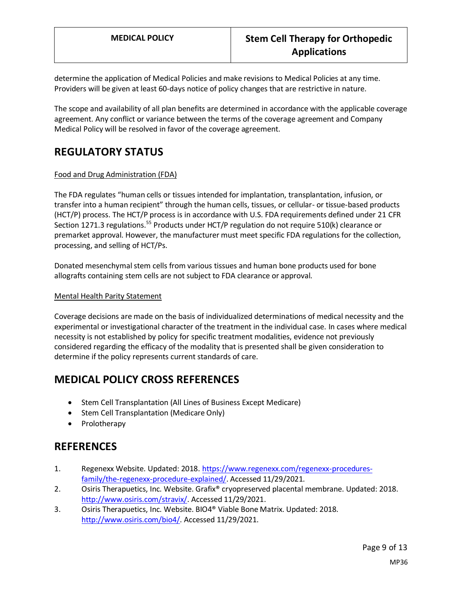determine the application of Medical Policies and make revisions to Medical Policies at any time. Providers will be given at least 60-days notice of policy changes that are restrictive in nature.

The scope and availability of all plan benefits are determined in accordance with the applicable coverage agreement. Any conflict or variance between the terms of the coverage agreement and Company Medical Policy will be resolved in favor of the coverage agreement.

# **REGULATORY STATUS**

### Food and Drug Administration (FDA)

The FDA regulates "human cells or tissues intended for implantation, transplantation, infusion, or transfer into a human recipient" through the human cells, tissues, or cellular- or tissue-based products (HCT/P) process. The HCT/P process is in accordance with U.S. FDA requirements defined under 21 CFR Section 1271.3 regulations.<sup>55</sup> Products under HCT/P regulation do not require 510(k) clearance or premarket approval. However, the manufacturer must meet specific FDA regulations for the collection, processing, and selling of HCT/Ps.

Donated mesenchymal stem cells from various tissues and human bone products used for bone allografts containing stem cells are not subject to FDA clearance or approval.

#### Mental Health Parity Statement

Coverage decisions are made on the basis of individualized determinations of medical necessity and the experimental or investigational character of the treatment in the individual case. In cases where medical necessity is not established by policy for specific treatment modalities, evidence not previously considered regarding the efficacy of the modality that is presented shall be given consideration to determine if the policy represents current standards of care.

## **MEDICAL POLICY CROSS REFERENCES**

- Stem Cell Transplantation (All Lines of Business Except Medicare)
- Stem Cell Transplantation (Medicare Only)
- Prolotherapy

## **REFERENCES**

- 1. Regenexx Website. Updated: 2018[. https://www.regenexx.com/regenexx-procedures](https://www.regenexx.com/regenexx-procedures-family/the-regenexx-procedure-explained/)[family/the-regenexx-procedure-explained/.](https://www.regenexx.com/regenexx-procedures-family/the-regenexx-procedure-explained/) Accessed 11/29/2021.
- 2. Osiris Therapuetics, Inc. Website. Grafix<sup>®</sup> cryopreserved placental membrane. Updated: 2018. [http://www.osiris.com/stravix/.](http://www.osiris.com/stravix/) Accessed 11/29/2021.
- 3. Osiris Therapuetics, Inc. Website. BIO4® Viable Bone Matrix. Updated: 2018. [http://www.osiris.com/bio4/.](http://www.osiris.com/bio4/) Accessed 11/29/2021.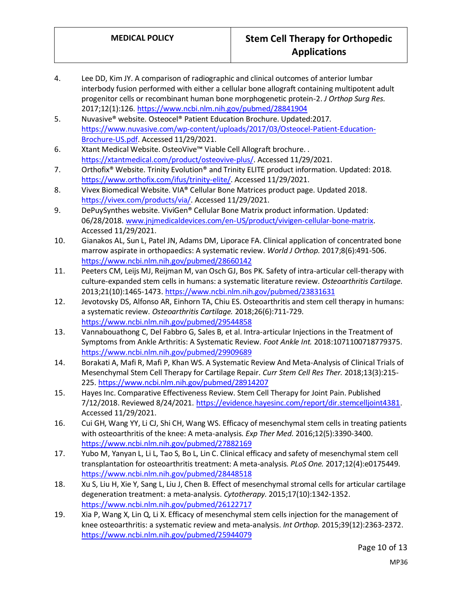- 4. Lee DD, Kim JY. A comparison of radiographic and clinical outcomes of anterior lumbar interbody fusion performed with either a cellular bone allograft containing multipotent adult progenitor cells or recombinant human bone morphogenetic protein-2. *J Orthop Surg Res.*  2017;12(1):126[. https://www.ncbi.nlm.nih.gov/pubmed/28841904](https://www.ncbi.nlm.nih.gov/pubmed/28841904)
- 5. Nuvasive® website. Osteocel® Patient Education Brochure. Updated:2017. [https://www.nuvasive.com/wp-content/uploads/2017/03/Osteocel-Patient-Education-](https://www.nuvasive.com/wp-content/uploads/2017/03/Osteocel-Patient-Education-Brochure-US.pdf)[Brochure-US.pdf.](https://www.nuvasive.com/wp-content/uploads/2017/03/Osteocel-Patient-Education-Brochure-US.pdf) Accessed 11/29/2021.
- 6. Xtant Medical Website. OsteoVive™ Viable Cell Allograft brochure. . [https://xtantmedical.com/product/osteovive-plus/.](https://xtantmedical.com/product/osteovive-plus/) Accessed 11/29/2021.
- 7. Orthofix® Website. Trinity Evolution® and Trinity ELITE product information. Updated: 2018. [https://www.orthofix.com/ifus/trinity-elite/.](https://www.orthofix.com/ifus/trinity-elite/) Accessed 11/29/2021.
- 8. Vivex Biomedical Website. VIA® Cellular Bone Matrices product page. Updated 2018. [https://vivex.com/products/via/.](https://vivex.com/products/via/) Accessed 11/29/2021.
- 9. DePuySynthes website. ViviGen® Cellular Bone Matrix product information. Updated: 06/28/2018[. www.jnjmedicaldevices.com/en-US/product/vivigen-cellular-bone-matrix.](file://///phppfs01/public/QM%20MEDICAL%20POLICY.CRITERIA/1.%20MPC%20Working%20File/Stem%20Cell%20Therapy%20for%20Orthopedic%20Applications/Policy%20Draft/2022/www.jnjmedicaldevices.com/en-US/product/vivigen-cellular-bone-matrix) Accessed 11/29/2021.
- 10. Gianakos AL, Sun L, Patel JN, Adams DM, Liporace FA. Clinical application of concentrated bone marrow aspirate in orthopaedics: A systematic review. *World J Orthop.* 2017;8(6):491-506. <https://www.ncbi.nlm.nih.gov/pubmed/28660142>
- 11. Peeters CM, Leijs MJ, Reijman M, van Osch GJ, Bos PK. Safety of intra-articular cell-therapy with culture-expanded stem cells in humans: a systematic literature review. *Osteoarthritis Cartilage.*  2013;21(10):1465-1473[. https://www.ncbi.nlm.nih.gov/pubmed/23831631](https://www.ncbi.nlm.nih.gov/pubmed/23831631)
- 12. Jevotovsky DS, Alfonso AR, Einhorn TA, Chiu ES. Osteoarthritis and stem cell therapy in humans: a systematic review. *Osteoarthritis Cartilage.* 2018;26(6):711-729. <https://www.ncbi.nlm.nih.gov/pubmed/29544858>
- 13. Vannabouathong C, Del Fabbro G, Sales B, et al. Intra-articular Injections in the Treatment of Symptoms from Ankle Arthritis: A Systematic Review. *Foot Ankle Int.* 2018:1071100718779375. <https://www.ncbi.nlm.nih.gov/pubmed/29909689>
- 14. Borakati A, Mafi R, Mafi P, Khan WS. A Systematic Review And Meta-Analysis of Clinical Trials of Mesenchymal Stem Cell Therapy for Cartilage Repair. *Curr Stem Cell Res Ther.* 2018;13(3):215- 225.<https://www.ncbi.nlm.nih.gov/pubmed/28914207>
- 15. Hayes Inc. Comparative Effectiveness Review. Stem Cell Therapy for Joint Pain. Published 7/12/2018. Reviewed 8/24/2021[. https://evidence.hayesinc.com/report/dir.stemcelljoint4381.](https://evidence.hayesinc.com/report/dir.stemcelljoint4381) Accessed 11/29/2021.
- 16. Cui GH, Wang YY, Li CJ, Shi CH, Wang WS. Efficacy of mesenchymal stem cells in treating patients with osteoarthritis of the knee: A meta-analysis. *Exp Ther Med.* 2016;12(5):3390-3400. <https://www.ncbi.nlm.nih.gov/pubmed/27882169>
- 17. Yubo M, Yanyan L, Li L, Tao S, Bo L, Lin C. Clinical efficacy and safety of mesenchymal stem cell transplantation for osteoarthritis treatment: A meta-analysis. *PLoS One.* 2017;12(4):e0175449. <https://www.ncbi.nlm.nih.gov/pubmed/28448518>
- 18. Xu S, Liu H, Xie Y, Sang L, Liu J, Chen B. Effect of mesenchymal stromal cells for articular cartilage degeneration treatment: a meta-analysis. *Cytotherapy.* 2015;17(10):1342-1352. <https://www.ncbi.nlm.nih.gov/pubmed/26122717>
- 19. Xia P, Wang X, Lin Q, Li X. Efficacy of mesenchymal stem cells injection for the management of knee osteoarthritis: a systematic review and meta-analysis. *Int Orthop.* 2015;39(12):2363-2372. <https://www.ncbi.nlm.nih.gov/pubmed/25944079>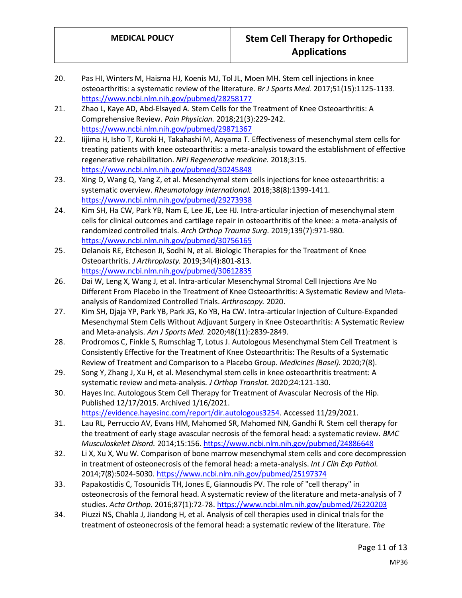- 20. Pas HI, Winters M, Haisma HJ, Koenis MJ, Tol JL, Moen MH. Stem cell injections in knee osteoarthritis: a systematic review of the literature. *Br J Sports Med.* 2017;51(15):1125-1133. <https://www.ncbi.nlm.nih.gov/pubmed/28258177>
- 21. Zhao L, Kaye AD, Abd-Elsayed A. Stem Cells for the Treatment of Knee Osteoarthritis: A Comprehensive Review. *Pain Physician.* 2018;21(3):229-242. <https://www.ncbi.nlm.nih.gov/pubmed/29871367>
- 22. Iijima H, Isho T, Kuroki H, Takahashi M, Aoyama T. Effectiveness of mesenchymal stem cells for treating patients with knee osteoarthritis: a meta-analysis toward the establishment of effective regenerative rehabilitation. *NPJ Regenerative medicine.* 2018;3:15. <https://www.ncbi.nlm.nih.gov/pubmed/30245848>
- 23. Xing D, Wang Q, Yang Z, et al. Mesenchymal stem cells injections for knee osteoarthritis: a systematic overview. *Rheumatology international.* 2018;38(8):1399-1411. <https://www.ncbi.nlm.nih.gov/pubmed/29273938>
- 24. Kim SH, Ha CW, Park YB, Nam E, Lee JE, Lee HJ. Intra-articular injection of mesenchymal stem cells for clinical outcomes and cartilage repair in osteoarthritis of the knee: a meta-analysis of randomized controlled trials. *Arch Orthop Trauma Surg.* 2019;139(7):971-980. <https://www.ncbi.nlm.nih.gov/pubmed/30756165>
- 25. Delanois RE, Etcheson JI, Sodhi N, et al. Biologic Therapies for the Treatment of Knee Osteoarthritis. *J Arthroplasty.* 2019;34(4):801-813. <https://www.ncbi.nlm.nih.gov/pubmed/30612835>
- 26. Dai W, Leng X, Wang J, et al. Intra-articular Mesenchymal Stromal Cell Injections Are No Different From Placebo in the Treatment of Knee Osteoarthritis: A Systematic Review and Metaanalysis of Randomized Controlled Trials. *Arthroscopy.* 2020.
- 27. Kim SH, Djaja YP, Park YB, Park JG, Ko YB, Ha CW. Intra-articular Injection of Culture-Expanded Mesenchymal Stem Cells Without Adjuvant Surgery in Knee Osteoarthritis: A Systematic Review and Meta-analysis. *Am J Sports Med.* 2020;48(11):2839-2849.
- 28. Prodromos C, Finkle S, Rumschlag T, Lotus J. Autologous Mesenchymal Stem Cell Treatment is Consistently Effective for the Treatment of Knee Osteoarthritis: The Results of a Systematic Review of Treatment and Comparison to a Placebo Group. *Medicines (Basel).* 2020;7(8).
- 29. Song Y, Zhang J, Xu H, et al. Mesenchymal stem cells in knee osteoarthritis treatment: A systematic review and meta-analysis. *J Orthop Translat.* 2020;24:121-130.
- 30. Hayes Inc. Autologous Stem Cell Therapy for Treatment of Avascular Necrosis of the Hip. Published 12/17/2015. Archived 1/16/2021.
	- [https://evidence.hayesinc.com/report/dir.autologous3254.](https://evidence.hayesinc.com/report/dir.autologous3254) Accessed 11/29/2021.
- 31. Lau RL, Perruccio AV, Evans HM, Mahomed SR, Mahomed NN, Gandhi R. Stem cell therapy for the treatment of early stage avascular necrosis of the femoral head: a systematic review. *BMC Musculoskelet Disord.* 2014;15:156[. https://www.ncbi.nlm.nih.gov/pubmed/24886648](https://www.ncbi.nlm.nih.gov/pubmed/24886648)
- 32. Li X, Xu X, Wu W. Comparison of bone marrow mesenchymal stem cells and core decompression in treatment of osteonecrosis of the femoral head: a meta-analysis. *Int J Clin Exp Pathol.*  2014;7(8):5024-5030[. https://www.ncbi.nlm.nih.gov/pubmed/25197374](https://www.ncbi.nlm.nih.gov/pubmed/25197374)
- 33. Papakostidis C, Tosounidis TH, Jones E, Giannoudis PV. The role of "cell therapy" in osteonecrosis of the femoral head. A systematic review of the literature and meta-analysis of 7 studies. *Acta Orthop.* 2016;87(1):72-78[. https://www.ncbi.nlm.nih.gov/pubmed/26220203](https://www.ncbi.nlm.nih.gov/pubmed/26220203)
- 34. Piuzzi NS, Chahla J, Jiandong H, et al. Analysis of cell therapies used in clinical trials for the treatment of osteonecrosis of the femoral head: a systematic review of the literature. *The*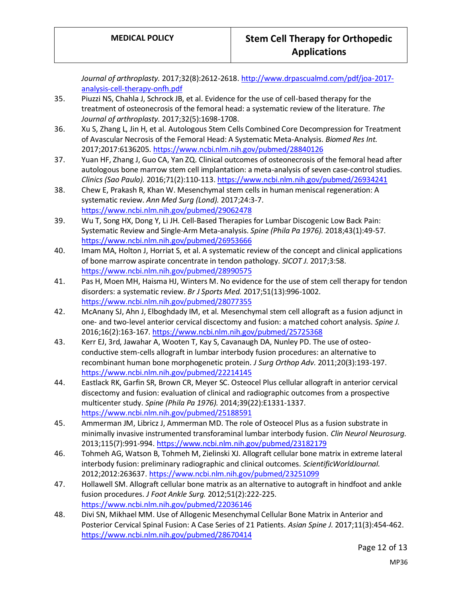*Journal of arthroplasty.* 2017;32(8):2612-2618[. http://www.drpascualmd.com/pdf/joa-2017](http://www.drpascualmd.com/pdf/joa-2017-analysis-cell-therapy-onfh.pdf) [analysis-cell-therapy-onfh.pdf](http://www.drpascualmd.com/pdf/joa-2017-analysis-cell-therapy-onfh.pdf)

- 35. Piuzzi NS, Chahla J, Schrock JB, et al. Evidence for the use of cell-based therapy for the treatment of osteonecrosis of the femoral head: a systematic review of the literature. *The Journal of arthroplasty.* 2017;32(5):1698-1708.
- 36. Xu S, Zhang L, Jin H, et al. Autologous Stem Cells Combined Core Decompression for Treatment of Avascular Necrosis of the Femoral Head: A Systematic Meta-Analysis. *Biomed Res Int.*  2017;2017:6136205.<https://www.ncbi.nlm.nih.gov/pubmed/28840126>
- 37. Yuan HF, Zhang J, Guo CA, Yan ZQ. Clinical outcomes of osteonecrosis of the femoral head after autologous bone marrow stem cell implantation: a meta-analysis of seven case-control studies. *Clinics (Sao Paulo).* 2016;71(2):110-113.<https://www.ncbi.nlm.nih.gov/pubmed/26934241>
- 38. Chew E, Prakash R, Khan W. Mesenchymal stem cells in human meniscal regeneration: A systematic review. *Ann Med Surg (Lond).* 2017;24:3-7. <https://www.ncbi.nlm.nih.gov/pubmed/29062478>
- 39. Wu T, Song HX, Dong Y, Li JH. Cell-Based Therapies for Lumbar Discogenic Low Back Pain: Systematic Review and Single-Arm Meta-analysis. *Spine (Phila Pa 1976).* 2018;43(1):49-57. <https://www.ncbi.nlm.nih.gov/pubmed/26953666>
- 40. Imam MA, Holton J, Horriat S, et al. A systematic review of the concept and clinical applications of bone marrow aspirate concentrate in tendon pathology. *SICOT J.* 2017;3:58. <https://www.ncbi.nlm.nih.gov/pubmed/28990575>
- 41. Pas H, Moen MH, Haisma HJ, Winters M. No evidence for the use of stem cell therapy for tendon disorders: a systematic review. *Br J Sports Med.* 2017;51(13):996-1002. <https://www.ncbi.nlm.nih.gov/pubmed/28077355>
- 42. McAnany SJ, Ahn J, Elboghdady IM, et al. Mesenchymal stem cell allograft as a fusion adjunct in one- and two-level anterior cervical discectomy and fusion: a matched cohort analysis. *Spine J.*  2016;16(2):163-167[. https://www.ncbi.nlm.nih.gov/pubmed/25725368](https://www.ncbi.nlm.nih.gov/pubmed/25725368)
- 43. Kerr EJ, 3rd, Jawahar A, Wooten T, Kay S, Cavanaugh DA, Nunley PD. The use of osteoconductive stem-cells allograft in lumbar interbody fusion procedures: an alternative to recombinant human bone morphogenetic protein. *J Surg Orthop Adv.* 2011;20(3):193-197. <https://www.ncbi.nlm.nih.gov/pubmed/22214145>
- 44. Eastlack RK, Garfin SR, Brown CR, Meyer SC. Osteocel Plus cellular allograft in anterior cervical discectomy and fusion: evaluation of clinical and radiographic outcomes from a prospective multicenter study. *Spine (Phila Pa 1976).* 2014;39(22):E1331-1337. <https://www.ncbi.nlm.nih.gov/pubmed/25188591>
- 45. Ammerman JM, Libricz J, Ammerman MD. The role of Osteocel Plus as a fusion substrate in minimally invasive instrumented transforaminal lumbar interbody fusion. *Clin Neurol Neurosurg.*  2013;115(7):991-994[. https://www.ncbi.nlm.nih.gov/pubmed/23182179](https://www.ncbi.nlm.nih.gov/pubmed/23182179)
- 46. Tohmeh AG, Watson B, Tohmeh M, Zielinski XJ. Allograft cellular bone matrix in extreme lateral interbody fusion: preliminary radiographic and clinical outcomes. *ScientificWorldJournal.*  2012;2012:263637[. https://www.ncbi.nlm.nih.gov/pubmed/23251099](https://www.ncbi.nlm.nih.gov/pubmed/23251099)
- 47. Hollawell SM. Allograft cellular bone matrix as an alternative to autograft in hindfoot and ankle fusion procedures. *J Foot Ankle Surg.* 2012;51(2):222-225. <https://www.ncbi.nlm.nih.gov/pubmed/22036146>
- 48. Divi SN, Mikhael MM. Use of Allogenic Mesenchymal Cellular Bone Matrix in Anterior and Posterior Cervical Spinal Fusion: A Case Series of 21 Patients. *Asian Spine J.* 2017;11(3):454-462. <https://www.ncbi.nlm.nih.gov/pubmed/28670414>